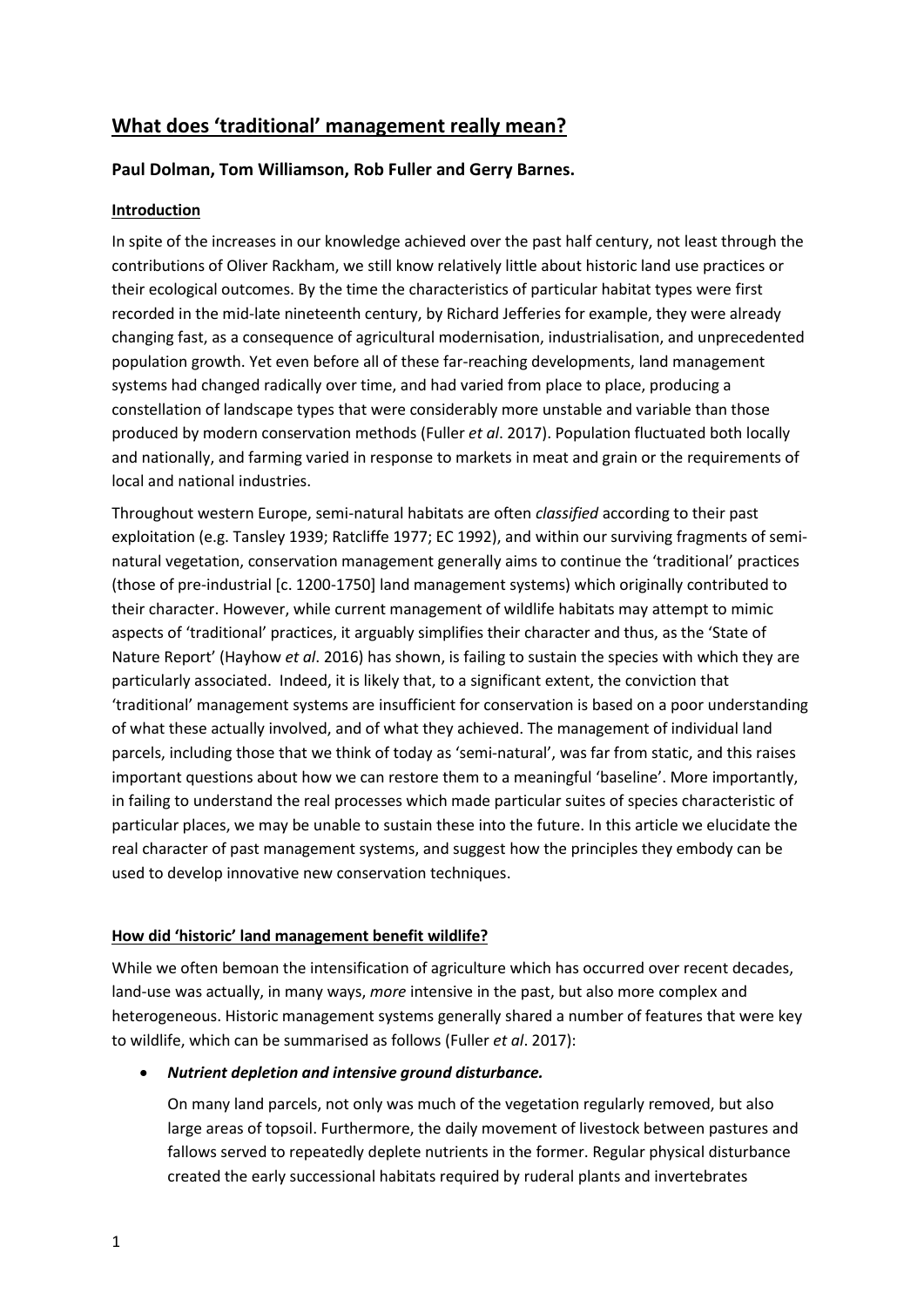# **What does 'traditional' management really mean?**

# **Paul Dolman, Tom Williamson, Rob Fuller and Gerry Barnes.**

# **Introduction**

In spite of the increases in our knowledge achieved over the past half century, not least through the contributions of Oliver Rackham, we still know relatively little about historic land use practices or their ecological outcomes. By the time the characteristics of particular habitat types were first recorded in the mid-late nineteenth century, by Richard Jefferies for example, they were already changing fast, as a consequence of agricultural modernisation, industrialisation, and unprecedented population growth. Yet even before all of these far-reaching developments, land management systems had changed radically over time, and had varied from place to place, producing a constellation of landscape types that were considerably more unstable and variable than those produced by modern conservation methods (Fuller *et al*. 2017). Population fluctuated both locally and nationally, and farming varied in response to markets in meat and grain or the requirements of local and national industries.

Throughout western Europe, semi-natural habitats are often *classified* according to their past exploitation (e.g. Tansley 1939; Ratcliffe 1977; EC 1992), and within our surviving fragments of seminatural vegetation, conservation management generally aims to continue the 'traditional' practices (those of pre-industrial [c. 1200-1750] land management systems) which originally contributed to their character. However, while current management of wildlife habitats may attempt to mimic aspects of 'traditional' practices, it arguably simplifies their character and thus, as the 'State of Nature Report' (Hayhow *et al*. 2016) has shown, is failing to sustain the species with which they are particularly associated. Indeed, it is likely that, to a significant extent, the conviction that 'traditional' management systems are insufficient for conservation is based on a poor understanding of what these actually involved, and of what they achieved. The management of individual land parcels, including those that we think of today as 'semi-natural', was far from static, and this raises important questions about how we can restore them to a meaningful 'baseline'. More importantly, in failing to understand the real processes which made particular suites of species characteristic of particular places, we may be unable to sustain these into the future. In this article we elucidate the real character of past management systems, and suggest how the principles they embody can be used to develop innovative new conservation techniques.

# **How did 'historic' land management benefit wildlife?**

While we often bemoan the intensification of agriculture which has occurred over recent decades, land-use was actually, in many ways, *more* intensive in the past, but also more complex and heterogeneous. Historic management systems generally shared a number of features that were key to wildlife, which can be summarised as follows (Fuller *et al*. 2017):

*Nutrient depletion and intensive ground disturbance.* 

On many land parcels, not only was much of the vegetation regularly removed, but also large areas of topsoil. Furthermore, the daily movement of livestock between pastures and fallows served to repeatedly deplete nutrients in the former. Regular physical disturbance created the early successional habitats required by ruderal plants and invertebrates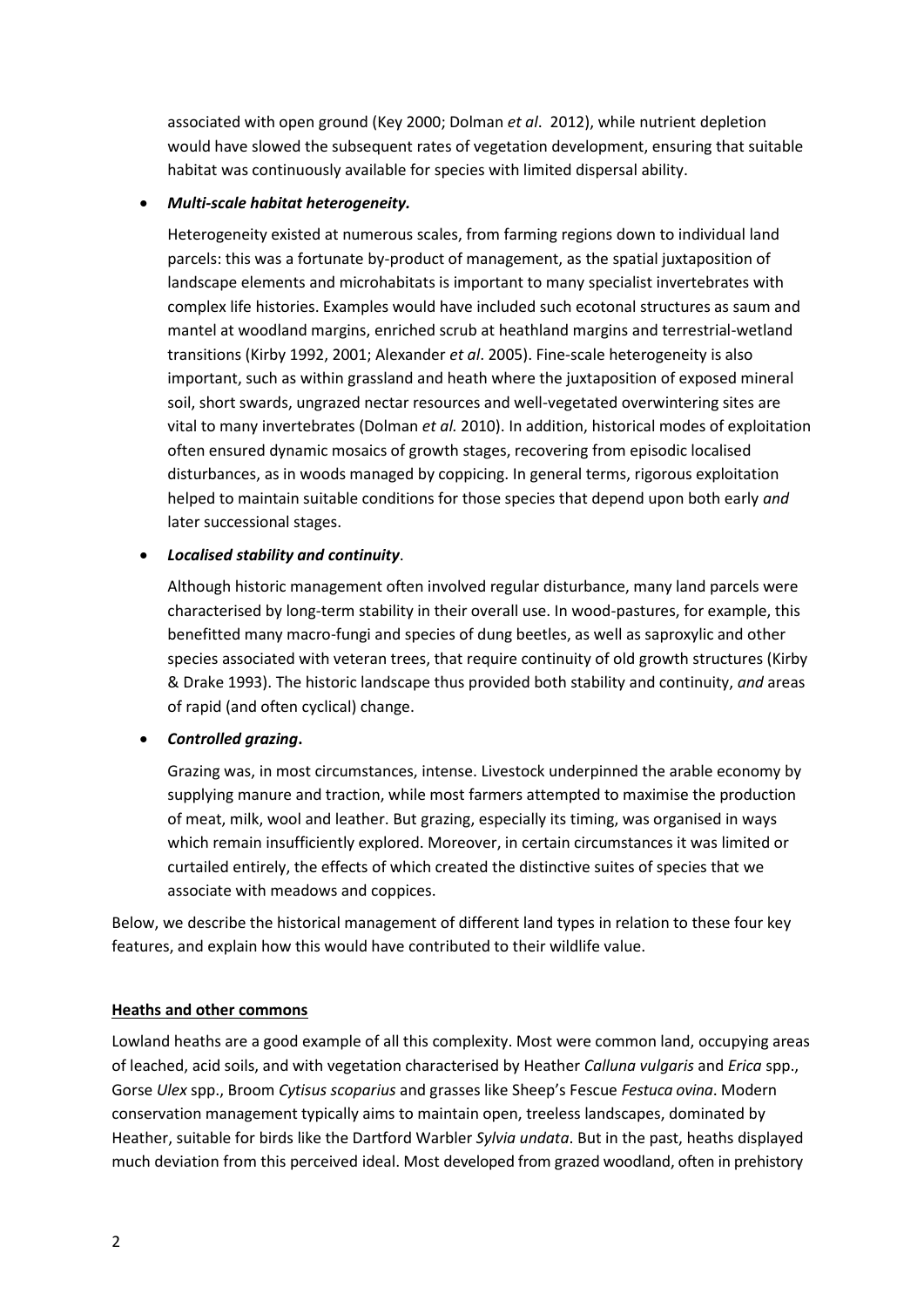associated with open ground (Key 2000; Dolman *et al*. 2012), while nutrient depletion would have slowed the subsequent rates of vegetation development, ensuring that suitable habitat was continuously available for species with limited dispersal ability.

## *Multi-scale habitat heterogeneity.*

Heterogeneity existed at numerous scales, from farming regions down to individual land parcels: this was a fortunate by-product of management, as the spatial juxtaposition of landscape elements and microhabitats is important to many specialist invertebrates with complex life histories. Examples would have included such ecotonal structures as saum and mantel at woodland margins, enriched scrub at heathland margins and terrestrial-wetland transitions (Kirby 1992, 2001; Alexander *et al*. 2005). Fine-scale heterogeneity is also important, such as within grassland and heath where the juxtaposition of exposed mineral soil, short swards, ungrazed nectar resources and well-vegetated overwintering sites are vital to many invertebrates (Dolman *et al.* 2010). In addition, historical modes of exploitation often ensured dynamic mosaics of growth stages, recovering from episodic localised disturbances, as in woods managed by coppicing. In general terms, rigorous exploitation helped to maintain suitable conditions for those species that depend upon both early *and* later successional stages.

# *Localised stability and continuity*.

Although historic management often involved regular disturbance, many land parcels were characterised by long-term stability in their overall use. In wood-pastures, for example, this benefitted many macro-fungi and species of dung beetles, as well as saproxylic and other species associated with veteran trees, that require continuity of old growth structures (Kirby & Drake 1993). The historic landscape thus provided both stability and continuity, *and* areas of rapid (and often cyclical) change.

# *Controlled grazing***.**

Grazing was, in most circumstances, intense. Livestock underpinned the arable economy by supplying manure and traction, while most farmers attempted to maximise the production of meat, milk, wool and leather. But grazing, especially its timing, was organised in ways which remain insufficiently explored. Moreover, in certain circumstances it was limited or curtailed entirely, the effects of which created the distinctive suites of species that we associate with meadows and coppices.

Below, we describe the historical management of different land types in relation to these four key features, and explain how this would have contributed to their wildlife value.

### **Heaths and other commons**

Lowland heaths are a good example of all this complexity. Most were common land, occupying areas of leached, acid soils, and with vegetation characterised by Heather *Calluna vulgaris* and *Erica* spp., Gorse *Ulex* spp., Broom *Cytisus scoparius* and grasses like Sheep's Fescue *Festuca ovina*. Modern conservation management typically aims to maintain open, treeless landscapes, dominated by Heather, suitable for birds like the Dartford Warbler *Sylvia undata*. But in the past, heaths displayed much deviation from this perceived ideal. Most developed from grazed woodland, often in prehistory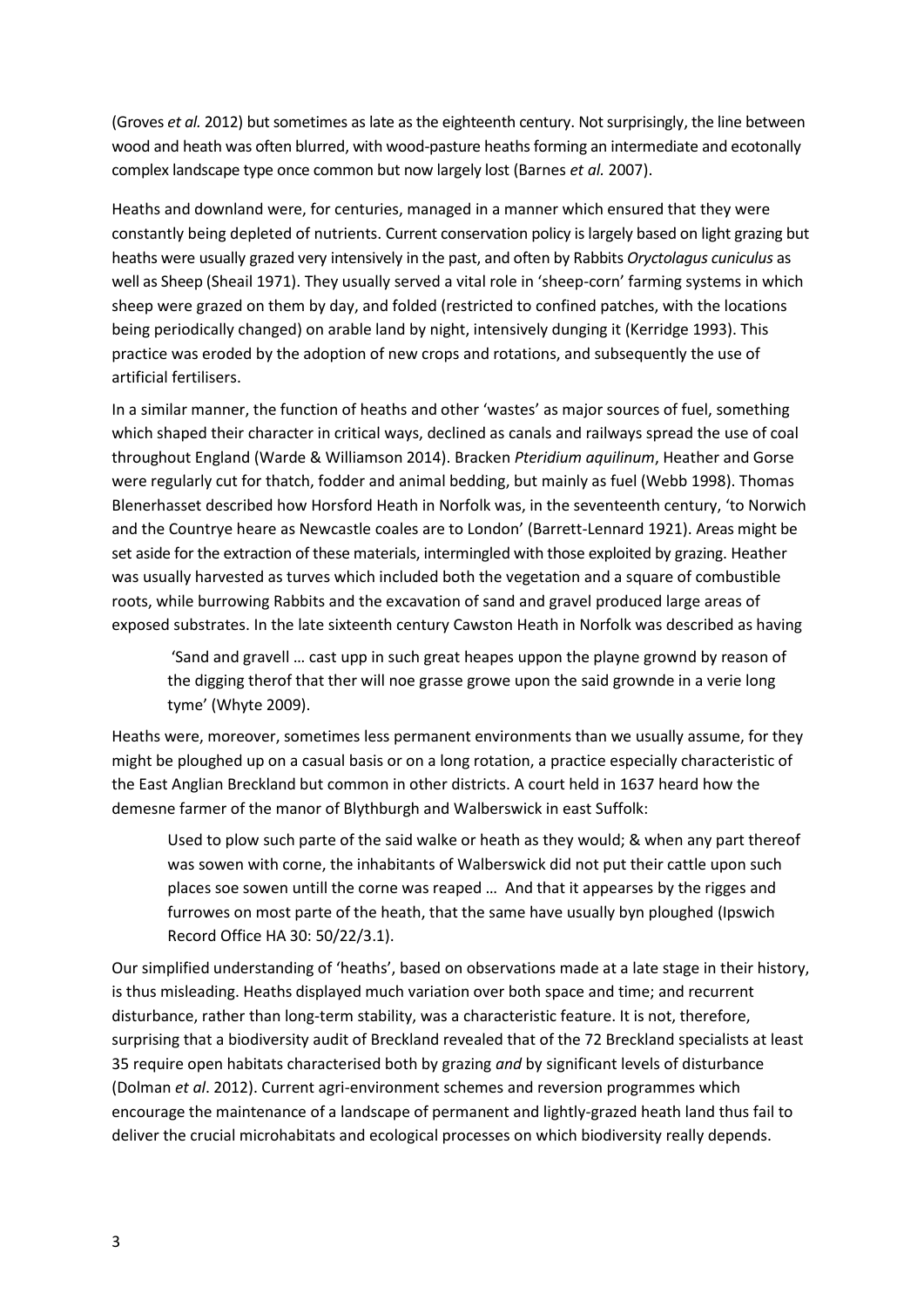(Groves *et al.* 2012) but sometimes as late as the eighteenth century. Not surprisingly, the line between wood and heath was often blurred, with wood-pasture heaths forming an intermediate and ecotonally complex landscape type once common but now largely lost (Barnes *et al.* 2007).

Heaths and downland were, for centuries, managed in a manner which ensured that they were constantly being depleted of nutrients. Current conservation policy is largely based on light grazing but heaths were usually grazed very intensively in the past, and often by Rabbits *Oryctolagus cuniculus* as well as Sheep (Sheail 1971). They usually served a vital role in 'sheep-corn' farming systems in which sheep were grazed on them by day, and folded (restricted to confined patches, with the locations being periodically changed) on arable land by night, intensively dunging it (Kerridge 1993). This practice was eroded by the adoption of new crops and rotations, and subsequently the use of artificial fertilisers.

In a similar manner, the function of heaths and other 'wastes' as major sources of fuel, something which shaped their character in critical ways, declined as canals and railways spread the use of coal throughout England (Warde & Williamson 2014). Bracken *Pteridium aquilinum*, Heather and Gorse were regularly cut for thatch, fodder and animal bedding, but mainly as fuel (Webb 1998). Thomas Blenerhasset described how Horsford Heath in Norfolk was, in the seventeenth century, 'to Norwich and the Countrye heare as Newcastle coales are to London' (Barrett-Lennard 1921). Areas might be set aside for the extraction of these materials, intermingled with those exploited by grazing. Heather was usually harvested as turves which included both the vegetation and a square of combustible roots, while burrowing Rabbits and the excavation of sand and gravel produced large areas of exposed substrates. In the late sixteenth century Cawston Heath in Norfolk was described as having

'Sand and gravell … cast upp in such great heapes uppon the playne grownd by reason of the digging therof that ther will noe grasse growe upon the said grownde in a verie long tyme' (Whyte 2009).

Heaths were, moreover, sometimes less permanent environments than we usually assume, for they might be ploughed up on a casual basis or on a long rotation, a practice especially characteristic of the East Anglian Breckland but common in other districts. A court held in 1637 heard how the demesne farmer of the manor of Blythburgh and Walberswick in east Suffolk:

Used to plow such parte of the said walke or heath as they would; & when any part thereof was sowen with corne, the inhabitants of Walberswick did not put their cattle upon such places soe sowen untill the corne was reaped … And that it appearses by the rigges and furrowes on most parte of the heath, that the same have usually byn ploughed (Ipswich Record Office HA 30: 50/22/3.1).

Our simplified understanding of 'heaths', based on observations made at a late stage in their history, is thus misleading. Heaths displayed much variation over both space and time; and recurrent disturbance, rather than long-term stability, was a characteristic feature. It is not, therefore, surprising that a biodiversity audit of Breckland revealed that of the 72 Breckland specialists at least 35 require open habitats characterised both by grazing *and* by significant levels of disturbance (Dolman *et al*. 2012). Current agri-environment schemes and reversion programmes which encourage the maintenance of a landscape of permanent and lightly-grazed heath land thus fail to deliver the crucial microhabitats and ecological processes on which biodiversity really depends.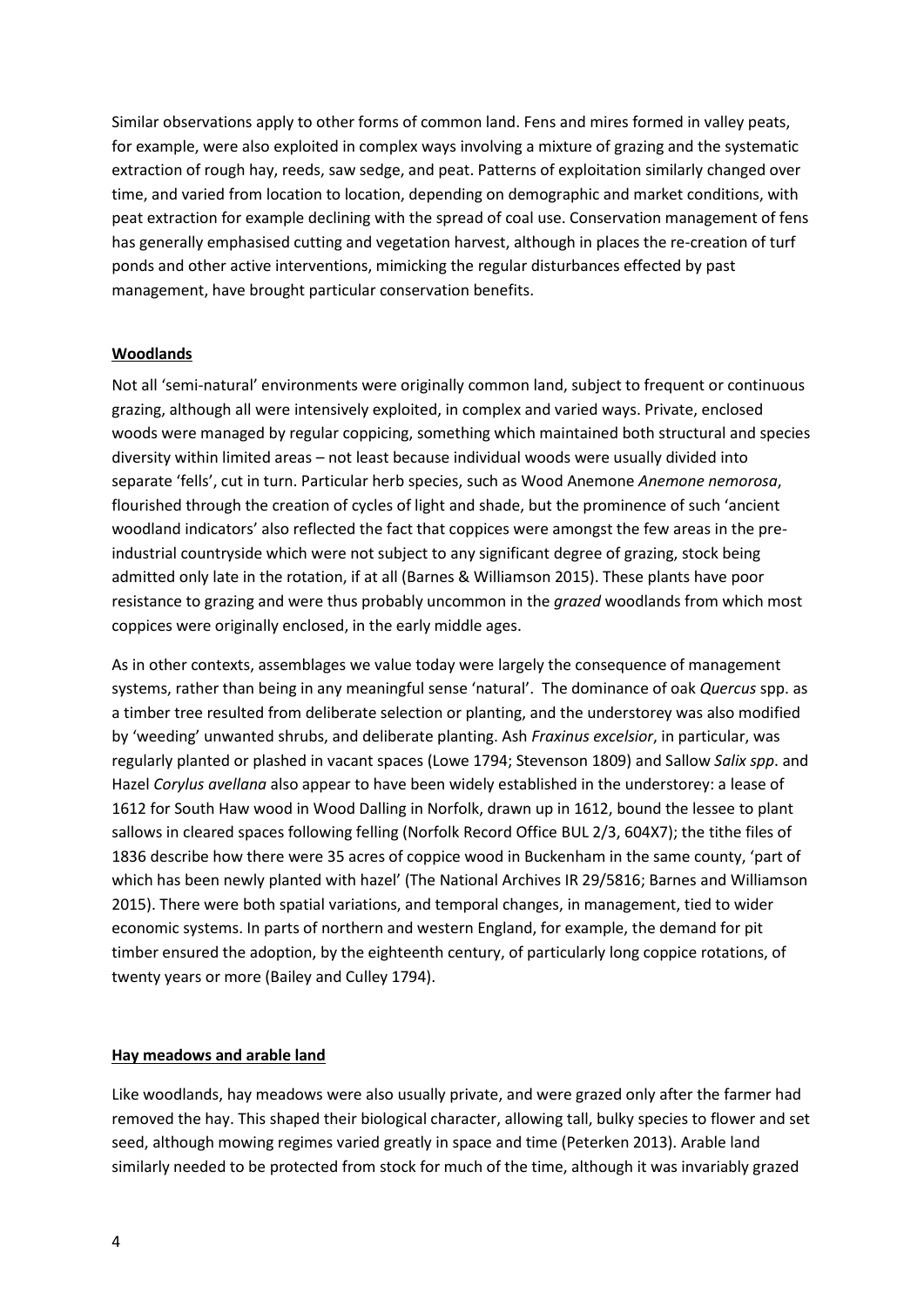Similar observations apply to other forms of common land. Fens and mires formed in valley peats, for example, were also exploited in complex ways involving a mixture of grazing and the systematic extraction of rough hay, reeds, saw sedge, and peat. Patterns of exploitation similarly changed over time, and varied from location to location, depending on demographic and market conditions, with peat extraction for example declining with the spread of coal use. Conservation management of fens has generally emphasised cutting and vegetation harvest, although in places the re-creation of turf ponds and other active interventions, mimicking the regular disturbances effected by past management, have brought particular conservation benefits.

#### **Woodlands**

Not all 'semi-natural' environments were originally common land, subject to frequent or continuous grazing, although all were intensively exploited, in complex and varied ways. Private, enclosed woods were managed by regular coppicing, something which maintained both structural and species diversity within limited areas – not least because individual woods were usually divided into separate 'fells', cut in turn. Particular herb species, such as Wood Anemone *Anemone nemorosa*, flourished through the creation of cycles of light and shade, but the prominence of such 'ancient woodland indicators' also reflected the fact that coppices were amongst the few areas in the preindustrial countryside which were not subject to any significant degree of grazing, stock being admitted only late in the rotation, if at all (Barnes & Williamson 2015). These plants have poor resistance to grazing and were thus probably uncommon in the *grazed* woodlands from which most coppices were originally enclosed, in the early middle ages.

As in other contexts, assemblages we value today were largely the consequence of management systems, rather than being in any meaningful sense 'natural'. The dominance of oak *Quercus* spp. as a timber tree resulted from deliberate selection or planting, and the understorey was also modified by 'weeding' unwanted shrubs, and deliberate planting. Ash *Fraxinus excelsior*, in particular, was regularly planted or plashed in vacant spaces (Lowe 1794; Stevenson 1809) and Sallow *Salix spp*. and Hazel *Corylus avellana* also appear to have been widely established in the understorey: a lease of 1612 for South Haw wood in Wood Dalling in Norfolk, drawn up in 1612, bound the lessee to plant sallows in cleared spaces following felling (Norfolk Record Office BUL 2/3, 604X7); the tithe files of 1836 describe how there were 35 acres of coppice wood in Buckenham in the same county, 'part of which has been newly planted with hazel' (The National Archives IR 29/5816; Barnes and Williamson 2015). There were both spatial variations, and temporal changes, in management, tied to wider economic systems. In parts of northern and western England, for example, the demand for pit timber ensured the adoption, by the eighteenth century, of particularly long coppice rotations, of twenty years or more (Bailey and Culley 1794).

#### **Hay meadows and arable land**

Like woodlands, hay meadows were also usually private, and were grazed only after the farmer had removed the hay. This shaped their biological character, allowing tall, bulky species to flower and set seed, although mowing regimes varied greatly in space and time (Peterken 2013). Arable land similarly needed to be protected from stock for much of the time, although it was invariably grazed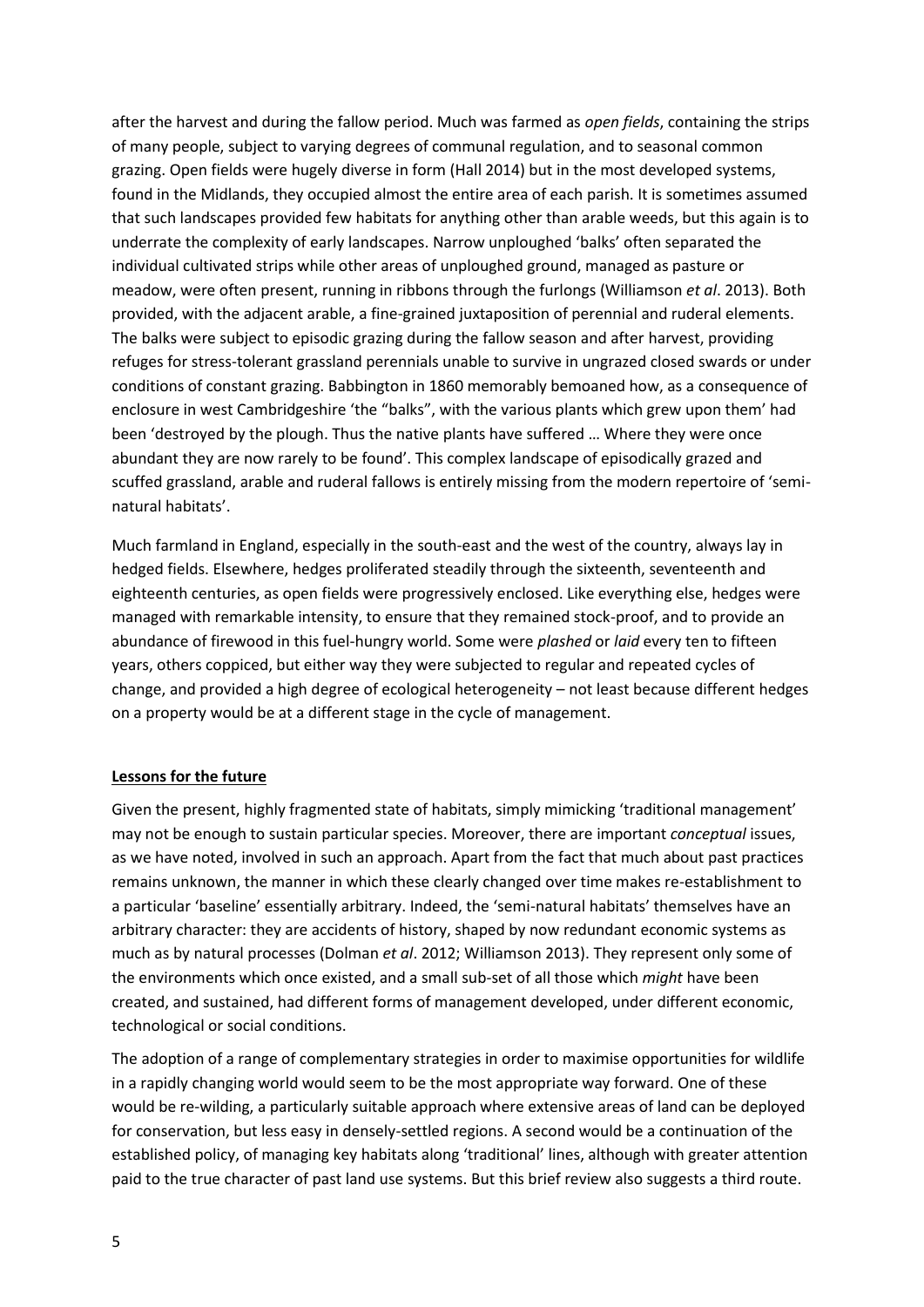after the harvest and during the fallow period. Much was farmed as *open fields*, containing the strips of many people, subject to varying degrees of communal regulation, and to seasonal common grazing. Open fields were hugely diverse in form (Hall 2014) but in the most developed systems, found in the Midlands, they occupied almost the entire area of each parish. It is sometimes assumed that such landscapes provided few habitats for anything other than arable weeds, but this again is to underrate the complexity of early landscapes. Narrow unploughed 'balks' often separated the individual cultivated strips while other areas of unploughed ground, managed as pasture or meadow, were often present, running in ribbons through the furlongs (Williamson *et al*. 2013). Both provided, with the adjacent arable, a fine-grained juxtaposition of perennial and ruderal elements. The balks were subject to episodic grazing during the fallow season and after harvest, providing refuges for stress-tolerant grassland perennials unable to survive in ungrazed closed swards or under conditions of constant grazing. Babbington in 1860 memorably bemoaned how, as a consequence of enclosure in west Cambridgeshire 'the "balks", with the various plants which grew upon them' had been 'destroyed by the plough. Thus the native plants have suffered … Where they were once abundant they are now rarely to be found'. This complex landscape of episodically grazed and scuffed grassland, arable and ruderal fallows is entirely missing from the modern repertoire of 'seminatural habitats'.

Much farmland in England, especially in the south-east and the west of the country, always lay in hedged fields. Elsewhere, hedges proliferated steadily through the sixteenth, seventeenth and eighteenth centuries, as open fields were progressively enclosed. Like everything else, hedges were managed with remarkable intensity, to ensure that they remained stock-proof, and to provide an abundance of firewood in this fuel-hungry world. Some were *plashed* or *laid* every ten to fifteen years, others coppiced, but either way they were subjected to regular and repeated cycles of change, and provided a high degree of ecological heterogeneity – not least because different hedges on a property would be at a different stage in the cycle of management.

### **Lessons for the future**

Given the present, highly fragmented state of habitats, simply mimicking 'traditional management' may not be enough to sustain particular species. Moreover, there are important *conceptual* issues, as we have noted, involved in such an approach. Apart from the fact that much about past practices remains unknown, the manner in which these clearly changed over time makes re-establishment to a particular 'baseline' essentially arbitrary. Indeed, the 'semi-natural habitats' themselves have an arbitrary character: they are accidents of history, shaped by now redundant economic systems as much as by natural processes (Dolman *et al*. 2012; Williamson 2013). They represent only some of the environments which once existed, and a small sub-set of all those which *might* have been created, and sustained, had different forms of management developed, under different economic, technological or social conditions.

The adoption of a range of complementary strategies in order to maximise opportunities for wildlife in a rapidly changing world would seem to be the most appropriate way forward. One of these would be re-wilding, a particularly suitable approach where extensive areas of land can be deployed for conservation, but less easy in densely-settled regions. A second would be a continuation of the established policy, of managing key habitats along 'traditional' lines, although with greater attention paid to the true character of past land use systems. But this brief review also suggests a third route.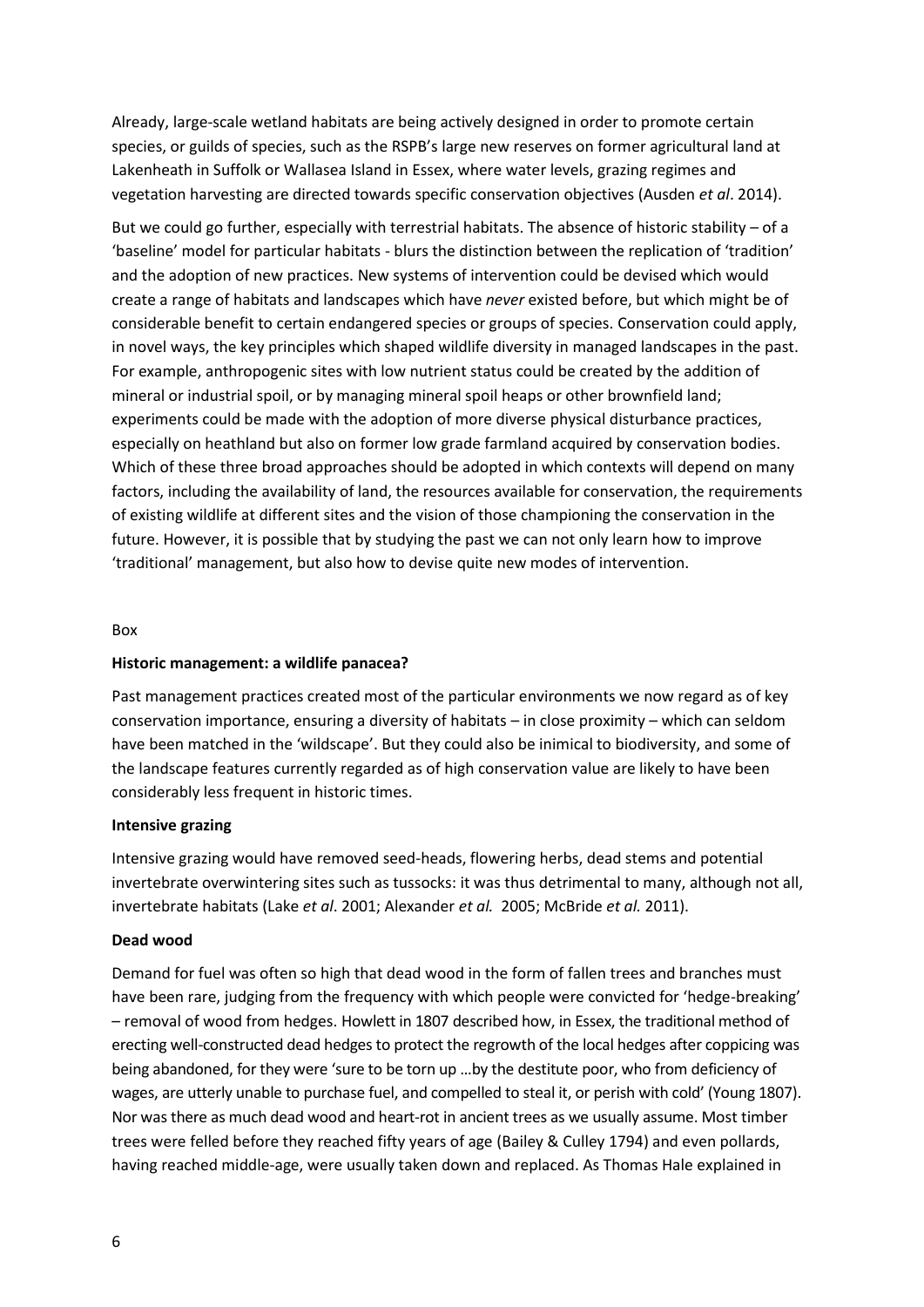Already, large-scale wetland habitats are being actively designed in order to promote certain species, or guilds of species, such as the RSPB's large new reserves on former agricultural land at Lakenheath in Suffolk or Wallasea Island in Essex, where water levels, grazing regimes and vegetation harvesting are directed towards specific conservation objectives (Ausden *et al*. 2014).

But we could go further, especially with terrestrial habitats. The absence of historic stability – of a 'baseline' model for particular habitats - blurs the distinction between the replication of 'tradition' and the adoption of new practices. New systems of intervention could be devised which would create a range of habitats and landscapes which have *never* existed before, but which might be of considerable benefit to certain endangered species or groups of species. Conservation could apply, in novel ways, the key principles which shaped wildlife diversity in managed landscapes in the past. For example, anthropogenic sites with low nutrient status could be created by the addition of mineral or industrial spoil, or by managing mineral spoil heaps or other brownfield land; experiments could be made with the adoption of more diverse physical disturbance practices, especially on heathland but also on former low grade farmland acquired by conservation bodies. Which of these three broad approaches should be adopted in which contexts will depend on many factors, including the availability of land, the resources available for conservation, the requirements of existing wildlife at different sites and the vision of those championing the conservation in the future. However, it is possible that by studying the past we can not only learn how to improve 'traditional' management, but also how to devise quite new modes of intervention.

#### Box

### **Historic management: a wildlife panacea?**

Past management practices created most of the particular environments we now regard as of key conservation importance, ensuring a diversity of habitats – in close proximity – which can seldom have been matched in the 'wildscape'. But they could also be inimical to biodiversity, and some of the landscape features currently regarded as of high conservation value are likely to have been considerably less frequent in historic times.

### **Intensive grazing**

Intensive grazing would have removed seed-heads, flowering herbs, dead stems and potential invertebrate overwintering sites such as tussocks: it was thus detrimental to many, although not all, invertebrate habitats (Lake *et al*. 2001; Alexander *et al.* 2005; McBride *et al.* 2011).

#### **Dead wood**

Demand for fuel was often so high that dead wood in the form of fallen trees and branches must have been rare, judging from the frequency with which people were convicted for 'hedge-breaking' – removal of wood from hedges. Howlett in 1807 described how, in Essex, the traditional method of erecting well-constructed dead hedges to protect the regrowth of the local hedges after coppicing was being abandoned, for they were 'sure to be torn up …by the destitute poor, who from deficiency of wages, are utterly unable to purchase fuel, and compelled to steal it, or perish with cold' (Young 1807). Nor was there as much dead wood and heart-rot in ancient trees as we usually assume. Most timber trees were felled before they reached fifty years of age (Bailey & Culley 1794) and even pollards, having reached middle-age, were usually taken down and replaced. As Thomas Hale explained in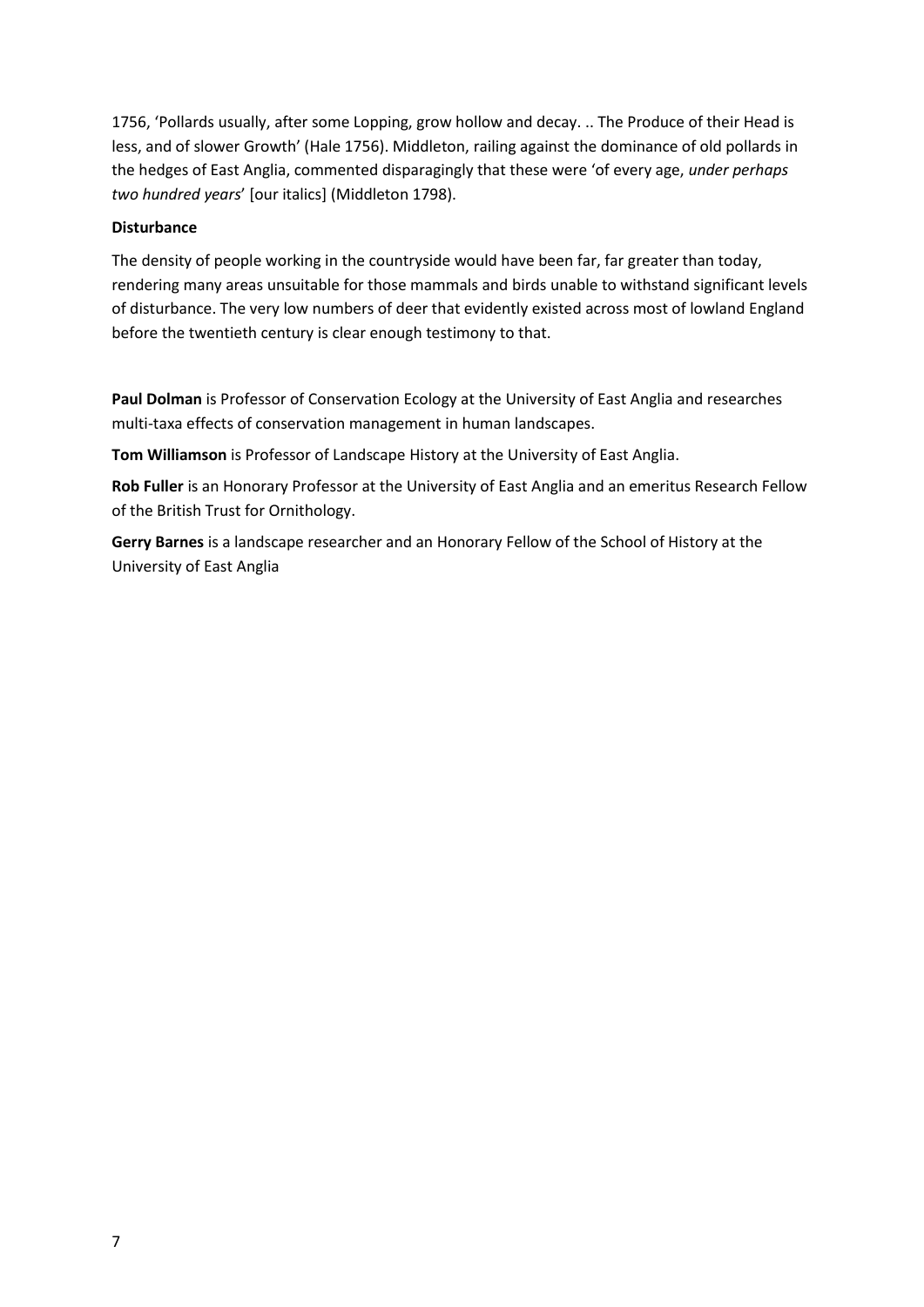1756, 'Pollards usually, after some Lopping, grow hollow and decay. .. The Produce of their Head is less, and of slower Growth' (Hale 1756). Middleton, railing against the dominance of old pollards in the hedges of East Anglia, commented disparagingly that these were 'of every age, *under perhaps two hundred years*' [our italics] (Middleton 1798).

### **Disturbance**

The density of people working in the countryside would have been far, far greater than today, rendering many areas unsuitable for those mammals and birds unable to withstand significant levels of disturbance. The very low numbers of deer that evidently existed across most of lowland England before the twentieth century is clear enough testimony to that.

**Paul Dolman** is Professor of Conservation Ecology at the University of East Anglia and researches multi-taxa effects of conservation management in human landscapes.

**Tom Williamson** is Professor of Landscape History at the University of East Anglia.

**Rob Fuller** is an Honorary Professor at the University of East Anglia and an emeritus Research Fellow of the British Trust for Ornithology.

**Gerry Barnes** is a landscape researcher and an Honorary Fellow of the School of History at the University of East Anglia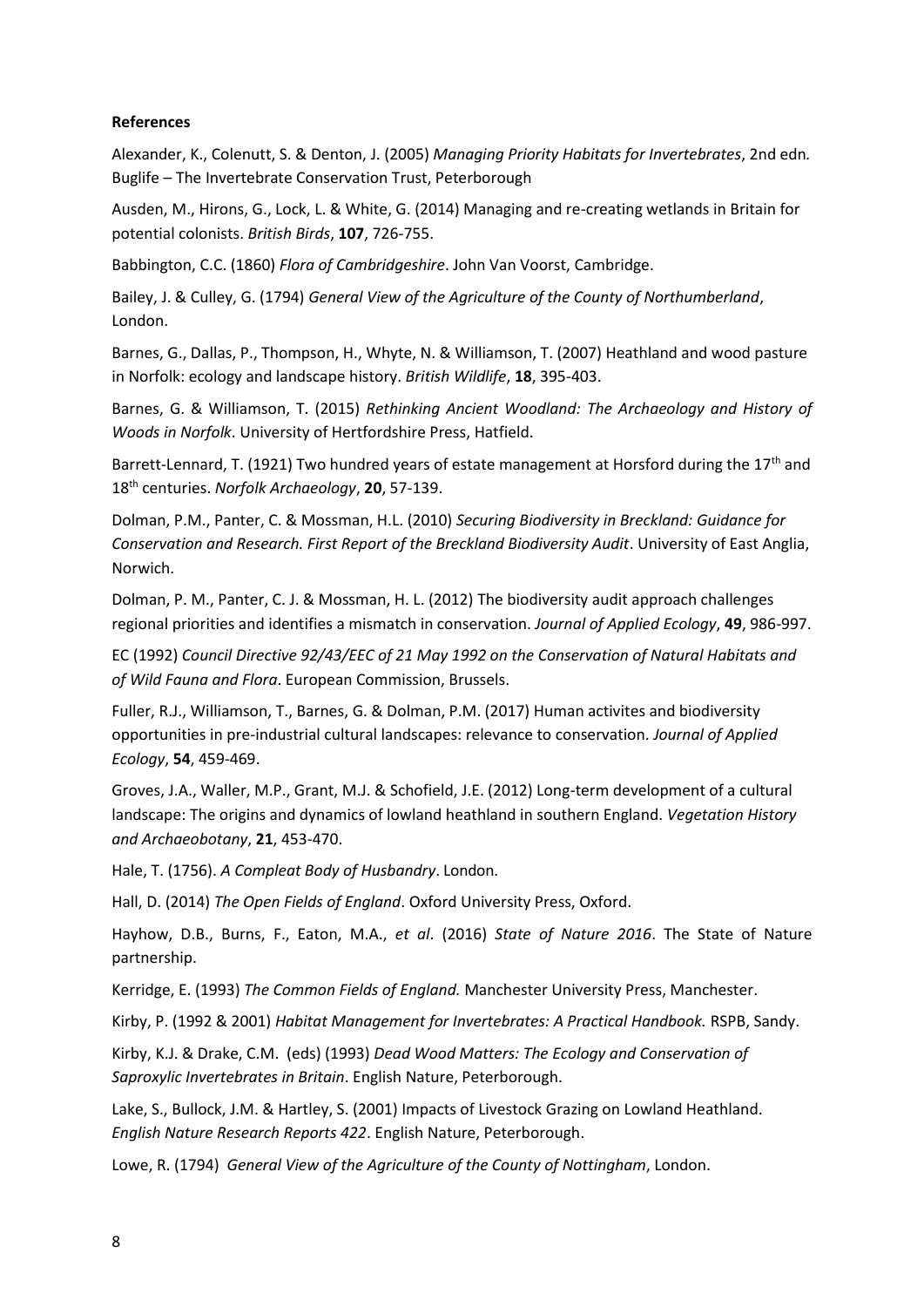### **References**

Alexander, K., Colenutt, S. & Denton, J. (2005) *Managing Priority Habitats for Invertebrates*, 2nd edn*.*  Buglife – The Invertebrate Conservation Trust, Peterborough

Ausden, M., Hirons, G., Lock, L. & White, G. (2014) Managing and re-creating wetlands in Britain for potential colonists. *British Birds*, **107**, 726-755.

Babbington, C.C. (1860) *Flora of Cambridgeshire*. John Van Voorst, Cambridge.

Bailey, J. & Culley, G. (1794) *General View of the Agriculture of the County of Northumberland*, London.

Barnes, G., Dallas, P., Thompson, H., Whyte, N. & Williamson, T. (2007) Heathland and wood pasture in Norfolk: ecology and landscape history. *British Wildlife*, **18**, 395-403.

Barnes, G. & Williamson, T. (2015) *Rethinking Ancient Woodland: The Archaeology and History of Woods in Norfolk*. University of Hertfordshire Press, Hatfield.

Barrett-Lennard, T. (1921) Two hundred years of estate management at Horsford during the  $17<sup>th</sup>$  and 18th centuries. *Norfolk Archaeology*, **20**, 57-139.

Dolman, P.M., Panter, C. & Mossman, H.L. (2010) *Securing Biodiversity in Breckland: Guidance for Conservation and Research. First Report of the Breckland Biodiversity Audit*. University of East Anglia, Norwich.

Dolman, P. M., Panter, C. J. & Mossman, H. L. (2012) The biodiversity audit approach challenges regional priorities and identifies a mismatch in conservation. *Journal of Applied Ecology*, **49**, 986-997.

EC (1992) *Council Directive 92/43/EEC of 21 May 1992 on the Conservation of Natural Habitats and of Wild Fauna and Flora*. European Commission, Brussels.

Fuller, R.J., Williamson, T., Barnes, G. & Dolman, P.M. (2017) Human activites and biodiversity opportunities in pre-industrial cultural landscapes: relevance to conservation. *Journal of Applied Ecology*, **54**, 459-469.

Groves, J.A., Waller, M.P., Grant, M.J. & Schofield, J.E. (2012) Long-term development of a cultural landscape: The origins and dynamics of lowland heathland in southern England. *Vegetation History and Archaeobotany*, **21**, 453-470.

Hale, T. (1756). *A Compleat Body of Husbandry*. London.

Hall, D. (2014) *The Open Fields of England*. Oxford University Press, Oxford.

Hayhow, D.B., Burns, F., Eaton, M.A., *et al*. (2016) *State of Nature 2016*. The State of Nature partnership.

Kerridge, E. (1993) *The Common Fields of England.* Manchester University Press, Manchester.

Kirby, P. (1992 & 2001) *Habitat Management for Invertebrates: A Practical Handbook.* RSPB, Sandy.

Kirby, K.J. & Drake, C.M. (eds) (1993) *Dead Wood Matters: The Ecology and Conservation of Saproxylic Invertebrates in Britain*. English Nature, Peterborough.

Lake, S., Bullock, J.M. & Hartley, S. (2001) Impacts of Livestock Grazing on Lowland Heathland. *English Nature Research Reports 422*. English Nature, Peterborough.

Lowe, R. (1794) *General View of the Agriculture of the County of Nottingham*, London.